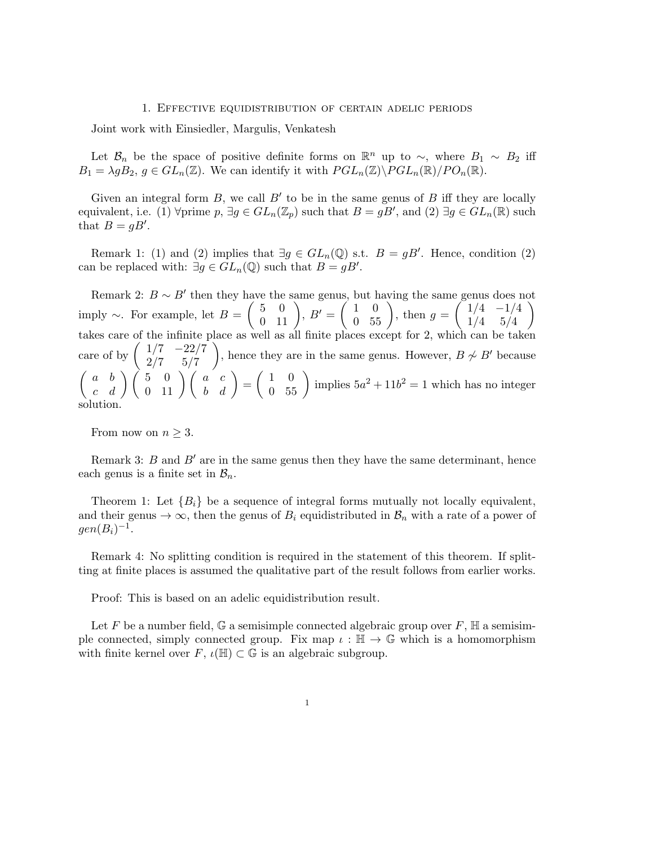## 1. Effective equidistribution of certain adelic periods

Joint work with Einsiedler, Margulis, Venkatesh

Let  $\mathcal{B}_n$  be the space of positive definite forms on  $\mathbb{R}^n$  up to  $\sim$ , where  $B_1 \sim B_2$  iff  $B_1 = \lambda g B_2, g \in GL_n(\mathbb{Z})$ . We can identify it with  $PGL_n(\mathbb{Z}) \backslash PGL_n(\mathbb{R})/PO_n(\mathbb{R})$ .

Given an integral form  $B$ , we call  $B'$  to be in the same genus of  $B$  iff they are locally equivalent, i.e. (1)  $\forall$ prime  $p$ ,  $\exists g \in GL_n(\mathbb{Z}_p)$  such that  $B = gB'$ , and (2)  $\exists g \in GL_n(\mathbb{R})$  such that  $B = gB'$ .

Remark 1: (1) and (2) implies that  $\exists g \in GL_n(\mathbb{Q})$  s.t.  $B = gB'$ . Hence, condition (2) can be replaced with:  $\exists g \in GL_n(\mathbb{Q})$  such that  $B = gB'$ .

Remark 2:  $B \sim B'$  then they have the same genus, but having the same genus does not imply  $\sim$ . For example, let  $B =$  $\begin{pmatrix} 5 & 0 \\ 0 & 11 \end{pmatrix}$ ,  $B' = \begin{pmatrix} 1 & 0 \\ 0 & 55 \end{pmatrix}$ , then  $g = \begin{pmatrix} 1/4 & -1/4 \\ 1/4 & 5/4 \end{pmatrix}$ 1*/*4 5*/*4 ◆ takes care of the infinite place as well as all finite places except for 2, which can be taken care of by  $\begin{pmatrix} 1/7 & -22/7 \\ 2/7 & 5/7 \end{pmatrix}$ ◆ , hence they are in the same genus. However,  $B \not\sim B'$  because  $\begin{pmatrix} a & b \\ c & d \end{pmatrix} \begin{pmatrix} 5 & 0 \\ 0 & 11 \end{pmatrix} \begin{pmatrix} a & c \\ b & d \end{pmatrix} = \begin{pmatrix} 1 & 0 \\ 0 & 55 \end{pmatrix}$  implies  $5a^2 + 11b^2 = 1$  which has no integer solution.

From now on  $n \geq 3$ .

Remark 3: *B* and  $B'$  are in the same genus then they have the same determinant, hence each genus is a finite set in  $\mathcal{B}_n$ .

Theorem 1: Let  ${B_i}$  be a sequence of integral forms mutually not locally equivalent, and their genus  $\rightarrow \infty$ , then the genus of  $B_i$  equidistributed in  $\mathcal{B}_n$  with a rate of a power of  $gen(B<sub>i</sub>)<sup>-1</sup>.$ 

Remark 4: No splitting condition is required in the statement of this theorem. If splitting at finite places is assumed the qualitative part of the result follows from earlier works.

Proof: This is based on an adelic equidistribution result.

Let F be a number field, G a semisimple connected algebraic group over  $F$ ,  $\mathbb H$  a semisimple connected, simply connected group. Fix map  $\iota : \mathbb{H} \to \mathbb{G}$  which is a homomorphism with finite kernel over  $F, \iota(\mathbb{H}) \subset \mathbb{G}$  is an algebraic subgroup.